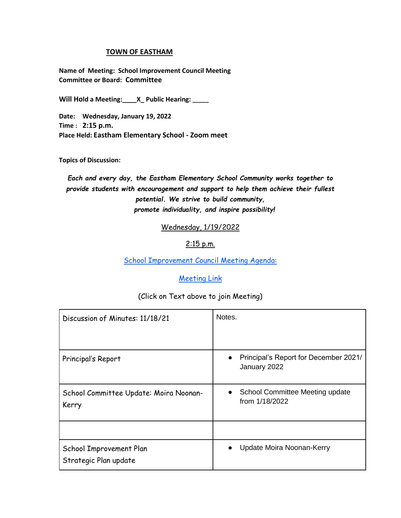## **TOWN OF EASTHAM**

**Name of Meeting: School Improvement Council Meeting Committee or Board: Committee**

**Will Hold a Meeting:\_\_\_\_X\_ Public Hearing: \_\_\_\_\_**

**Date: Wednesday, January 19, 2022 Time : 2:15 p.m. Place Held: Eastham Elementary School - Zoom meet**

**Topics of Discussion:** 

*Each and every day, the Eastham Elementary School Community works together to provide students with encouragement and support to help them achieve their fullest potential. We strive to build community, promote individuality, and inspire possibility!*

Wednesday, 1/19/2022

## 2:15 p.m.

[School Improvement Council Meeting Agenda:](https://us02web.zoom.us/j/83196891109?pwd=SkJqVksweXduQnFkcmlKcjZ6U3JsZz09)

## [Meeting Link](https://us02web.zoom.us/j/89046107073?pwd=SDZzNmJFVkV0K3dGZmlzRXp5UkRtUT09)

## (Click on Text above to join Meeting)

| Discussion of Minutes: 11/18/21                  | Notes.                                                             |
|--------------------------------------------------|--------------------------------------------------------------------|
| Principal's Report                               | Principal's Report for December 2021/<br>$\bullet$<br>January 2022 |
| School Committee Update: Moira Noonan-<br>Kerry  | School Committee Meeting update<br>$\bullet$<br>from 1/18/2022     |
|                                                  |                                                                    |
| School Improvement Plan<br>Strategic Plan update | Update Moira Noonan-Kerry                                          |